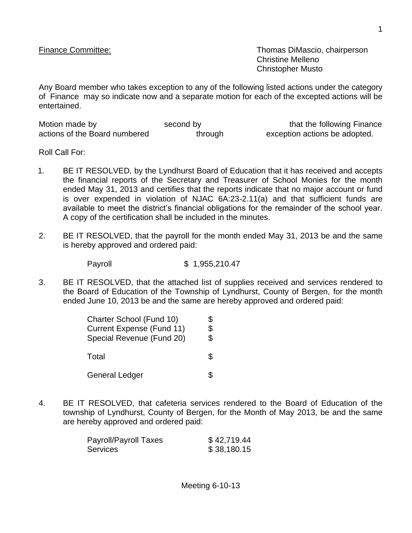Finance Committee: Thomas DiMascio, chairperson Christine Melleno Christopher Musto

Any Board member who takes exception to any of the following listed actions under the category of Finance may so indicate now and a separate motion for each of the excepted actions will be entertained.

| Motion made by                | second by | that the following Finance    |
|-------------------------------|-----------|-------------------------------|
| actions of the Board numbered | through   | exception actions be adopted. |

Roll Call For:

- 1. BE IT RESOLVED, by the Lyndhurst Board of Education that it has received and accepts the financial reports of the Secretary and Treasurer of School Monies for the month ended May 31, 2013 and certifies that the reports indicate that no major account or fund is over expended in violation of NJAC 6A:23-2.11(a) and that sufficient funds are available to meet the district's financial obligations for the remainder of the school year. A copy of the certification shall be included in the minutes.
- 2. BE IT RESOLVED, that the payroll for the month ended May 31, 2013 be and the same is hereby approved and ordered paid:

Payroll \$ 1,955,210.47

3. BE IT RESOLVED, that the attached list of supplies received and services rendered to the Board of Education of the Township of Lyndhurst, County of Bergen, for the month ended June 10, 2013 be and the same are hereby approved and ordered paid:

| Charter School (Fund 10)         |    |
|----------------------------------|----|
| <b>Current Expense (Fund 11)</b> | \$ |
| Special Revenue (Fund 20)        | \$ |
| Total                            | Ж  |
| <b>General Ledger</b>            |    |

4. BE IT RESOLVED, that cafeteria services rendered to the Board of Education of the township of Lyndhurst, County of Bergen, for the Month of May 2013, be and the same are hereby approved and ordered paid:

| Payroll/Payroll Taxes | \$42,719.44 |
|-----------------------|-------------|
| Services              | \$38,180.15 |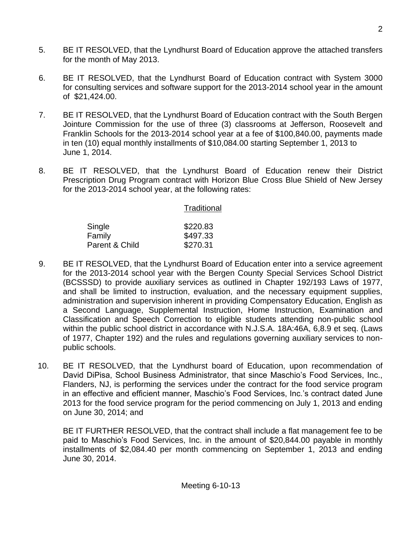- 5. BE IT RESOLVED, that the Lyndhurst Board of Education approve the attached transfers for the month of May 2013.
- 6. BE IT RESOLVED, that the Lyndhurst Board of Education contract with System 3000 for consulting services and software support for the 2013-2014 school year in the amount of \$21,424.00.
- 7. BE IT RESOLVED, that the Lyndhurst Board of Education contract with the South Bergen Jointure Commission for the use of three (3) classrooms at Jefferson, Roosevelt and Franklin Schools for the 2013-2014 school year at a fee of \$100,840.00, payments made in ten (10) equal monthly installments of \$10,084.00 starting September 1, 2013 to June 1, 2014.
- 8. BE IT RESOLVED, that the Lyndhurst Board of Education renew their District Prescription Drug Program contract with Horizon Blue Cross Blue Shield of New Jersey for the 2013-2014 school year, at the following rates:

| Traditional |  |  |
|-------------|--|--|
| \$220.83    |  |  |
| \$497.33    |  |  |
| \$270.31    |  |  |
|             |  |  |

- 9. BE IT RESOLVED, that the Lyndhurst Board of Education enter into a service agreement for the 2013-2014 school year with the Bergen County Special Services School District (BCSSSD) to provide auxiliary services as outlined in Chapter 192/193 Laws of 1977, and shall be limited to instruction, evaluation, and the necessary equipment supplies, administration and supervision inherent in providing Compensatory Education, English as a Second Language, Supplemental Instruction, Home Instruction, Examination and Classification and Speech Correction to eligible students attending non-public school within the public school district in accordance with N.J.S.A. 18A:46A, 6,8.9 et seq. (Laws of 1977, Chapter 192) and the rules and regulations governing auxiliary services to nonpublic schools.
- 10. BE IT RESOLVED, that the Lyndhurst board of Education, upon recommendation of David DiPisa, School Business Administrator, that since Maschio's Food Services, Inc., Flanders, NJ, is performing the services under the contract for the food service program in an effective and efficient manner, Maschio's Food Services, Inc.'s contract dated June 2013 for the food service program for the period commencing on July 1, 2013 and ending on June 30, 2014; and

BE IT FURTHER RESOLVED, that the contract shall include a flat management fee to be paid to Maschio's Food Services, Inc. in the amount of \$20,844.00 payable in monthly installments of \$2,084.40 per month commencing on September 1, 2013 and ending June 30, 2014.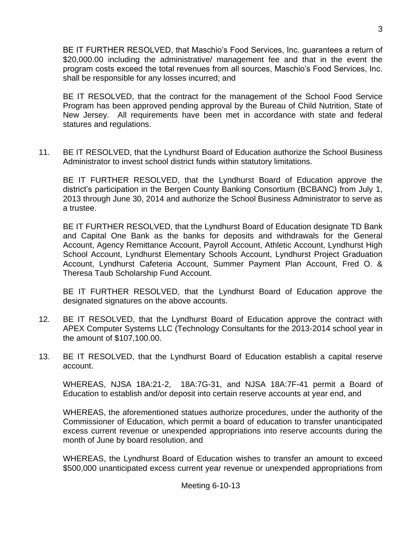BE IT FURTHER RESOLVED, that Maschio's Food Services, Inc. guarantees a return of \$20,000.00 including the administrative/ management fee and that in the event the program costs exceed the total revenues from all sources, Maschio's Food Services, Inc. shall be responsible for any losses incurred; and

BE IT RESOLVED, that the contract for the management of the School Food Service Program has been approved pending approval by the Bureau of Child Nutrition, State of New Jersey. All requirements have been met in accordance with state and federal statures and regulations.

11. BE IT RESOLVED, that the Lyndhurst Board of Education authorize the School Business Administrator to invest school district funds within statutory limitations.

BE IT FURTHER RESOLVED, that the Lyndhurst Board of Education approve the district's participation in the Bergen County Banking Consortium (BCBANC) from July 1, 2013 through June 30, 2014 and authorize the School Business Administrator to serve as a trustee.

BE IT FURTHER RESOLVED, that the Lyndhurst Board of Education designate TD Bank and Capital One Bank as the banks for deposits and withdrawals for the General Account, Agency Remittance Account, Payroll Account, Athletic Account, Lyndhurst High School Account, Lyndhurst Elementary Schools Account, Lyndhurst Project Graduation Account, Lyndhurst Cafeteria Account, Summer Payment Plan Account, Fred O. & Theresa Taub Scholarship Fund Account.

BE IT FURTHER RESOLVED, that the Lyndhurst Board of Education approve the designated signatures on the above accounts.

- 12. BE IT RESOLVED, that the Lyndhurst Board of Education approve the contract with APEX Computer Systems LLC (Technology Consultants for the 2013-2014 school year in the amount of \$107,100.00.
- 13. BE IT RESOLVED, that the Lyndhurst Board of Education establish a capital reserve account.

WHEREAS, NJSA 18A:21-2, 18A:7G-31, and NJSA 18A:7F-41 permit a Board of Education to establish and/or deposit into certain reserve accounts at year end, and

WHEREAS, the aforementioned statues authorize procedures, under the authority of the Commissioner of Education, which permit a board of education to transfer unanticipated excess current revenue or unexpended appropriations into reserve accounts during the month of June by board resolution, and

WHEREAS, the Lyndhurst Board of Education wishes to transfer an amount to exceed \$500,000 unanticipated excess current year revenue or unexpended appropriations from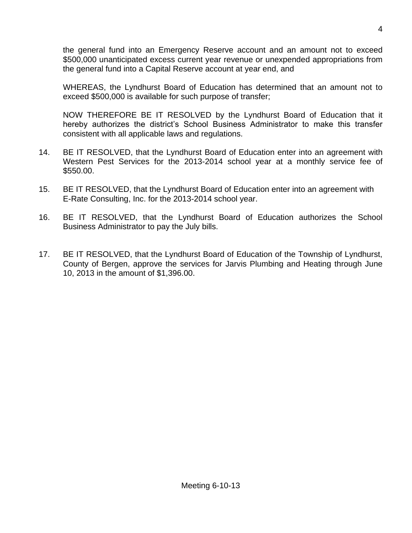the general fund into an Emergency Reserve account and an amount not to exceed \$500,000 unanticipated excess current year revenue or unexpended appropriations from the general fund into a Capital Reserve account at year end, and

WHEREAS, the Lyndhurst Board of Education has determined that an amount not to exceed \$500,000 is available for such purpose of transfer;

NOW THEREFORE BE IT RESOLVED by the Lyndhurst Board of Education that it hereby authorizes the district's School Business Administrator to make this transfer consistent with all applicable laws and regulations.

- 14. BE IT RESOLVED, that the Lyndhurst Board of Education enter into an agreement with Western Pest Services for the 2013-2014 school year at a monthly service fee of \$550.00.
- 15. BE IT RESOLVED, that the Lyndhurst Board of Education enter into an agreement with E-Rate Consulting, Inc. for the 2013-2014 school year.
- 16. BE IT RESOLVED, that the Lyndhurst Board of Education authorizes the School Business Administrator to pay the July bills.
- 17. BE IT RESOLVED, that the Lyndhurst Board of Education of the Township of Lyndhurst, County of Bergen, approve the services for Jarvis Plumbing and Heating through June 10, 2013 in the amount of \$1,396.00.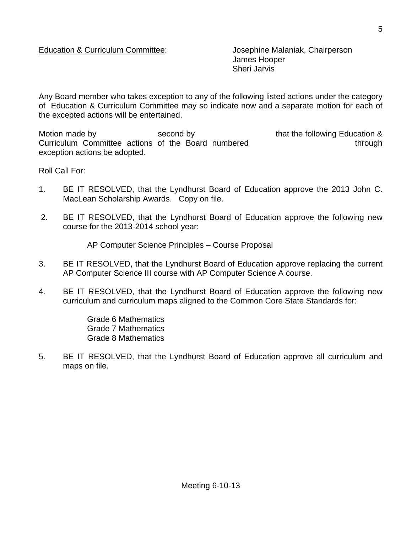James Hooper Sheri Jarvis

Any Board member who takes exception to any of the following listed actions under the category of Education & Curriculum Committee may so indicate now and a separate motion for each of the excepted actions will be entertained.

Motion made by **Second by Second by** that the following Education & Curriculum Committee actions of the Board numbered through through exception actions be adopted.

Roll Call For:

- 1. BE IT RESOLVED, that the Lyndhurst Board of Education approve the 2013 John C. MacLean Scholarship Awards. Copy on file.
- 2. BE IT RESOLVED, that the Lyndhurst Board of Education approve the following new course for the 2013-2014 school year:

AP Computer Science Principles – Course Proposal

- 3. BE IT RESOLVED, that the Lyndhurst Board of Education approve replacing the current AP Computer Science III course with AP Computer Science A course.
- 4. BE IT RESOLVED, that the Lyndhurst Board of Education approve the following new curriculum and curriculum maps aligned to the Common Core State Standards for:

Grade 6 Mathematics Grade 7 Mathematics Grade 8 Mathematics

5. BE IT RESOLVED, that the Lyndhurst Board of Education approve all curriculum and maps on file.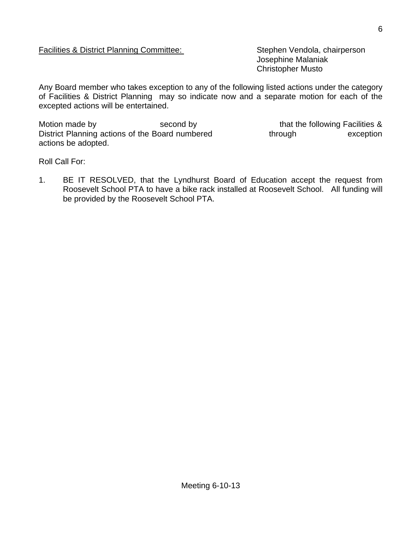## Facilities & District Planning Committee: Stephen Vendola, chairperson

Josephine Malaniak Christopher Musto

Any Board member who takes exception to any of the following listed actions under the category of Facilities & District Planning may so indicate now and a separate motion for each of the excepted actions will be entertained.

Motion made by second by second by that the following Facilities & District Planning actions of the Board numbered through exception actions be adopted.

Roll Call For:

1. BE IT RESOLVED, that the Lyndhurst Board of Education accept the request from Roosevelt School PTA to have a bike rack installed at Roosevelt School. All funding will be provided by the Roosevelt School PTA.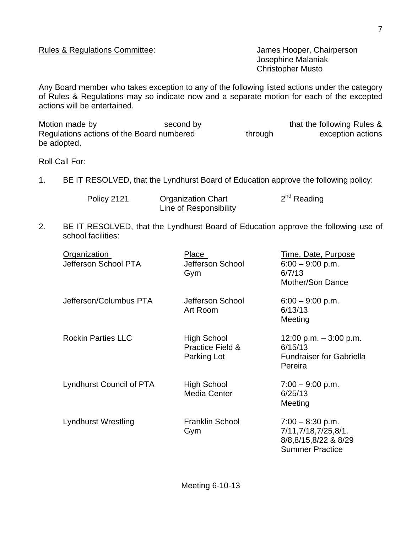Josephine Malaniak Christopher Musto

Any Board member who takes exception to any of the following listed actions under the category of Rules & Regulations may so indicate now and a separate motion for each of the excepted actions will be entertained.

| Motion made by                            | second by |         | that the following Rules & |
|-------------------------------------------|-----------|---------|----------------------------|
| Regulations actions of the Board numbered |           | through | exception actions          |
| be adopted.                               |           |         |                            |

Roll Call For:

1. BE IT RESOLVED, that the Lyndhurst Board of Education approve the following policy:

| Policy 2121 | <b>Organization Chart</b> | $2nd$ Reading |
|-------------|---------------------------|---------------|
|             | Line of Responsibility    |               |

2. BE IT RESOLVED, that the Lyndhurst Board of Education approve the following use of school facilities:

| Organization<br>Jefferson School PTA | <b>Place</b><br>Jefferson School<br>Gym                          | <u>Time, Date, Purpose</u><br>$6:00 - 9:00$ p.m.<br>6/7/13<br>Mother/Son Dance              |
|--------------------------------------|------------------------------------------------------------------|---------------------------------------------------------------------------------------------|
| Jefferson/Columbus PTA               | Jefferson School<br>Art Room                                     | $6:00 - 9:00$ p.m.<br>6/13/13<br>Meeting                                                    |
| <b>Rockin Parties LLC</b>            | <b>High School</b><br><b>Practice Field &amp;</b><br>Parking Lot | 12:00 p.m. $-3:00$ p.m.<br>6/15/13<br><b>Fundraiser for Gabriella</b><br>Pereira            |
| Lyndhurst Council of PTA             | High School<br>Media Center                                      | $7:00 - 9:00$ p.m.<br>6/25/13<br>Meeting                                                    |
| Lyndhurst Wrestling                  | <b>Franklin School</b><br>Gym                                    | $7:00 - 8:30$ p.m.<br>7/11,7/18,7/25,8/1,<br>8/8,8/15,8/22 & 8/29<br><b>Summer Practice</b> |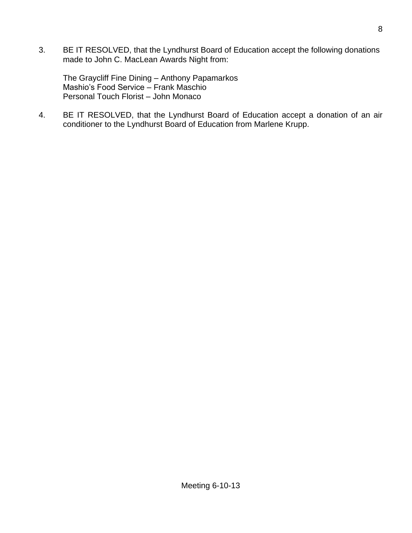3. BE IT RESOLVED, that the Lyndhurst Board of Education accept the following donations made to John C. MacLean Awards Night from:

The Graycliff Fine Dining – Anthony Papamarkos Mashio's Food Service – Frank Maschio Personal Touch Florist – John Monaco

4. BE IT RESOLVED, that the Lyndhurst Board of Education accept a donation of an air conditioner to the Lyndhurst Board of Education from Marlene Krupp.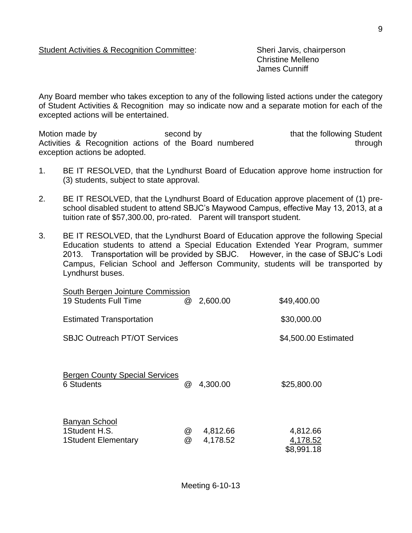Christine Melleno James Cunniff

Any Board member who takes exception to any of the following listed actions under the category of Student Activities & Recognition may so indicate now and a separate motion for each of the excepted actions will be entertained.

Motion made by **Second by** second by that the following Student Activities & Recognition actions of the Board numbered through exception actions be adopted.

- 1. BE IT RESOLVED, that the Lyndhurst Board of Education approve home instruction for (3) students, subject to state approval.
- 2. BE IT RESOLVED, that the Lyndhurst Board of Education approve placement of (1) preschool disabled student to attend SBJC's Maywood Campus, effective May 13, 2013, at a tuition rate of \$57,300.00, pro-rated. Parent will transport student.
- 3. BE IT RESOLVED, that the Lyndhurst Board of Education approve the following Special Education students to attend a Special Education Extended Year Program, summer 2013. Transportation will be provided by SBJC. However, in the case of SBJC's Lodi Campus, Felician School and Jefferson Community, students will be transported by Lyndhurst buses.

| South Bergen Jointure Commission<br>19 Students Full Time | @      | 2,600.00             | \$49,400.00                        |
|-----------------------------------------------------------|--------|----------------------|------------------------------------|
| <b>Estimated Transportation</b>                           |        |                      | \$30,000.00                        |
| <b>SBJC Outreach PT/OT Services</b>                       |        |                      | \$4,500.00 Estimated               |
| <b>Bergen County Special Services</b><br>6 Students       | @      | 4,300.00             | \$25,800.00                        |
| Banyan School<br>1Student H.S.<br>1 Student Elementary    | @<br>@ | 4,812.66<br>4,178.52 | 4,812.66<br>4,178.52<br>\$8,991.18 |